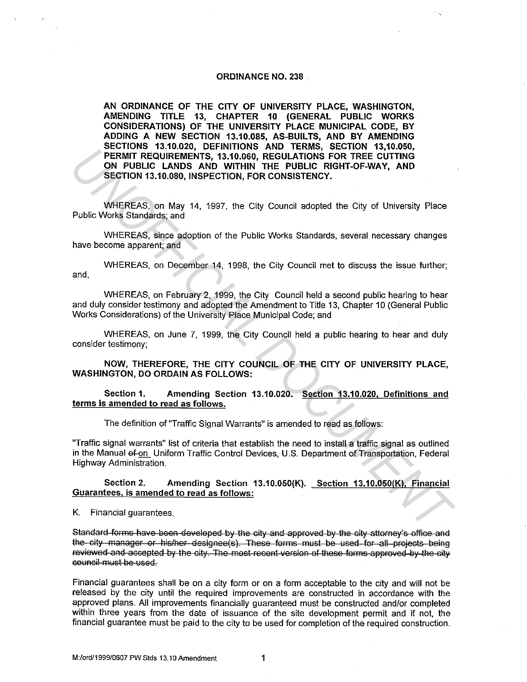#### **ORDINANCE NO. 238**

**AN ORDINANCE OF THE CITY OF UNIVERSITY PLACE, WASHINGTON, AMENDING TITLE 13, CHAPTER 10 (GENERAL PUBLIC WORKS CONSIDERATIONS) OF THE UNIVERSITY PLACE MUNICIPAL CODE, BY ADDING A NEW SECTION 13.10.085, AS-BUILTS, AND BY AMENDING SECTIONS 13.10.020, DEFINITIONS AND TERMS, SECTION 13,10.050, PERMIT REQUIREMENTS, 13.10.060, REGULATIONS FOR TREE CUTTING ON PUBLIC LANDS AND WITHIN THE PUBLIC RIGHT-OF-WAY, AND SECTION 13.10.080, INSPECTION, FOR CONSISTENCY.** 

WHEREAS, on May 14, 1997, the City Council adopted the City of University Place Public Works Standards; and

WHEREAS, since adoption of the Public Works Standards, several necessary changes have become apparent; and

WHEREAS, on December 14, 1998, the City Council met to discuss the issue further; and,

WHEREAS, on February 2, 1999, the City Council held a second public hearing to hear and duly consider testimony and adopted the Amendment to Title 13, Chapter 10 (General Public Works Considerations) of the University Place Municipal Code; and

WHEREAS, on June 7, 1999, the City Council held a public hearing to hear and duly consider testimony;

**NOW, THEREFORE, THE CITY COUNCIL OF THE CITY OF UNIVERSITY PLACE, WASHINGTON, DO ORDAIN AS FOLLOWS:** 

**Section 1. Amending Section 13.10.020. Section 13.10.020, Definitions and terms is amended to read as follows.** 

The definition of "Traffic Signal Warrants" is amended to read as follows:

"Traffic signal warrants" list of criteria that establish the need to install a traffic signal as outlined in the Manual ef-on Uniform Traffic Control Devices, U.S. Department of Transportation, Federal Highway Administration. **EXERCT THE CITY OF THE CITY OF UNIVERSITY PLACE,**<br> **UNIFIDENTITY OF MANDS AND MITHING THE PUBLIC RIGHT-OF-WAY, AND SECTION RESIDENTS.**<br> **UNIFIDENT ANDS AND WITHING HE PUBLIC RIGHT-OF-WAY, AND SECTION RESIDENCY.**<br> *WHEREAS* 

**Section 2. Amending Section 13.10.050(K). Section 13.10.050(K), Financial Guarantees. is amended to read as follows:** 

K. Financial guarantees.

Standard forms have been developed by the city and approved by the city attorney's office and the sity manager or his/her designee(s). These forms must be used for all projects being reviewed and ascepted by the city. The most recent version of these forms approved by the city GOURGIL must be used.

Financial guarantees shall be on a city form or on a form acceptable to the city and will not be released by the city until the required improvements are constructed in accordance with the approved plans. All improvements financially guaranteed must be constructed and/or completed within three years from the date of issuance of the site development permit and if not, the financial guarantee must be paid to the city to be used for completion of the required construction.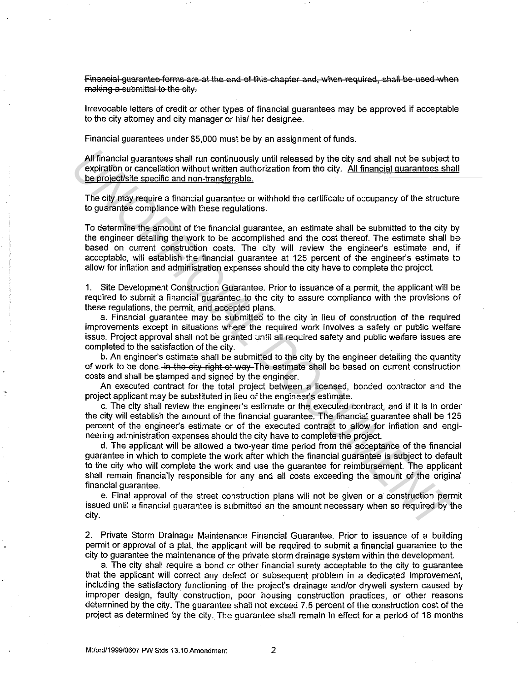Financial guarantee forms are at the end of this chapter and, when required, shall be used when making a submittal to the city.

Irrevocable letters of credit or other types of financial guarantees may be approved if acceptable to the city attorney and city manager or his/ her designee.

Financial guarantees under \$5,000 must be by an assignment of funds.

All financial guarantees shall run continuously until released by the city and shall not be subject to expiration or cancellation without written authorization from the city. All financial guarantees shall All financial guarantees shall run continuously until released by the city and shall not be subject to<br>expiration or cancellation without written authorization from the city. All financial guarantees shall<br>be project/site

The city may require a financial guarantee or withhold the certificate of occupancy of the structure to guarantee compliance with these regulations.

To determine the amount of the financial guarantee, an estimate shall be submitted to the city by the engineer detailing the work to be accomplished and the cost thereof. The estimate shall be based on current construction costs. The city will review the engineer's estimate and, if acceptable, will establish the financial guarantee at 125 percent of the engineer's estimate to allow for inflation and administration expenses should the city have to complete the project.

1. Site Development Construction Guarantee. Prior to issuance of a permit, the applicant will be required to submit a financial guarantee to the city to assure compliance with the provisions of these regulations, the permit, and accepted plans.

a. Financial guarantee may be submitted to the city in lieu of construction of the required improvements except in situations where the required work involves a safety or public welfare issue. Project approval shall not be granted until all required safety and public welfare issues are completed to the satisfaction of the city.

b. An engineer's estimate shall be submitted to the city by the engineer detailing the quantity of work to be done. in the eity right of way The estimate shall be based on current construction costs and shall be stamped and signed by the engineer.

An executed contract for the total project between a licensed, bonded contractor and the project applicant may be substituted in lieu of the engineer's estimate.

c. The city shall review the engineer's estimate or the executed contract, and if it is in order the city will establish the amount of the financial guarantee. The financial guarantee shall be 125 percent of the engineer's estimate or of the executed contract to allow for inflation and engineering administration expenses should the city have to complete the project.

d. The applicant will be allowed a two-year time period from the acceptance of the financial guarantee in which to complete the work after which the financial guarantee is subject to default to the city who will complete the work and use the guarantee for reimbursement. The applicant shall remain financially responsible for any and all costs exceeding the amount of the original financial quarantee. All financial guarantees shall run continuously until released by the city and shall not be subject to periodion or cancelistion without written authorization from the city. All financial guarantees shall provide the prope

e. Final approval of the street construction plans will not be given or a· construction permit issued until a financial guarantee is submitted an the amount necessary when so required by the city.

2. Private Storm Drainage Maintenance Financial Guarantee. Prior to issuance of a building permit or approval of a plat, the applicant will be required to submit a financial guarantee to the city to guarantee the maintenance of the private storm drainage system within the development.

a. The city shall require a bond or other financial surety acceptable to the city to guarantee that the applicant will correct any defect or subsequent problem in a dedicated improvement, including the satisfactory functioning of the project's drainage and/or drywall system caused by improper design, faulty construction, poor housing construction practices, or other reasons determined by the city. The guarantee shall not exceed 7.5 percent of the construction cost of the project as determined by the city. The guarantee shall remain in effect for a period of 18 months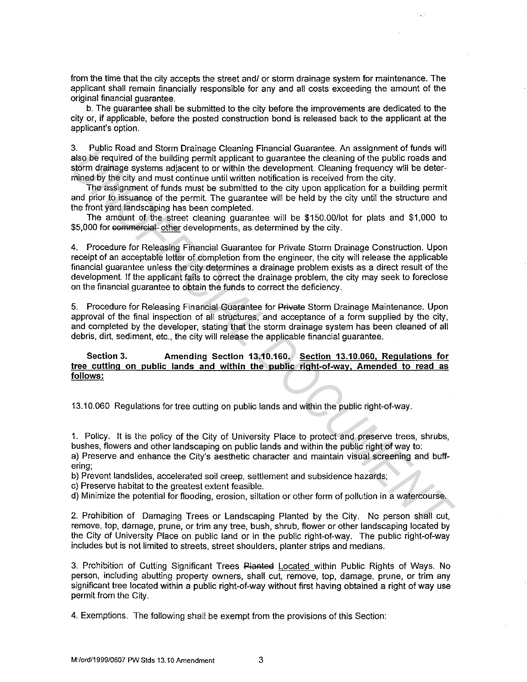from the time that the city accepts the street and/ or storm drainage system for maintenance. The applicant shall remain financially responsible for any and all costs exceeding the amount of the original financial guarantee.

b. The guarantee shall be submitted to the city before the improvements are dedicated to the city or, if applicable, before the posted construction bond is released back to the applicant at the applicant's option.

3. Public Road and Storm Drainage Cleaning Financial Guarantee. An assignment of funds will also be required of the building permit applicant to guarantee the cleaning of the public roads and storm drainage systems adjacent to or within the development. Cleaning frequency will be determined by the city and must continue until written notification is received from the city.

The assignment of funds must be submitted to the city upon application for a building permit and prior to issuance of the permit. The guarantee will be held by the city until the structure and the front yard landscaping has been completed.

The amount of the street cleaning guarantee will be \$150.00/lot for plats and \$1,000 to \$5,000 for commercial other developments, as determined by the city.

4. Procedure for Releasing Financial Guarantee for Private Storm Drainage Construction. Upon receipt of an acceptable letter of completion from the engineer, the city will release the applicable financial guarantee unless the city determines a drainage problem exists as a direct result of the development. If the applicant fails to correct the drainage problem, the city may seek to foreclose on the financial guarantee to obtain the funds to correct the deficiency. 3. Protosi and Storm Uratinage Costaining Prinancial Guissiants. An assignment of throw will be determined and store between the bublic point applicant to guissian discussion of the public roads and minimal by the city and

5. Procedure for Releasing Financial Guarantee for Private Storm Drainage Maintenance. Upon approval of the final inspection of all structures, and acceptance of a form supplied by the city, and completed by the developer, stating that the storm drainage system has been cleaned of all debris, dirt, sediment, etc., the city will release the applicable financial guarantee.

## **Section 3. Amending Section 13.10.160. Section 13.10.060, Regulations for tree cutting on public lands and within the public right-of-wav. Amended to read as follows:**

13.10.060 Regulations for tree cutting on public lands and within the public right-of-way.

1. Policy. It is the policy of the City of University Place to protect and preserve trees, shrubs, bushes, flowers and other landscaping on public lands and within the public right of way to: a) Preserve and enhance the City's aesthetic character and maintain visual screening and buffering;

b) Prevent landslides, accelerated soil creep, settlement and subsidence hazards;

c) Preserve habitat to the greatest extent feasible.

d) Minimize the potential for flooding, erosion, siltation or other form of pollution in a watercourse.

2. Prohibition of Damaging Trees or Landscaping Planted by the City. No person shall cut, remove, top, damage, prune, or trim any tree, bush, shrub, flower or other landscaping located by the City of University Place on public land or in the public right-of-way. The public right-of-way includes but is not limited to streets, street shoulders, planter strips and medians.

3. Prohibition of Cutting Significant Trees Planted Located within Public Rights of Ways. No person, including abutting property owners, shall cut, remove, top, damage, prune, or trim any significant tree located within a public right-of-way without first having obtained a right of way use permit from the City.

4. Exemptions. The following shall be exempt from the provisions of this Section: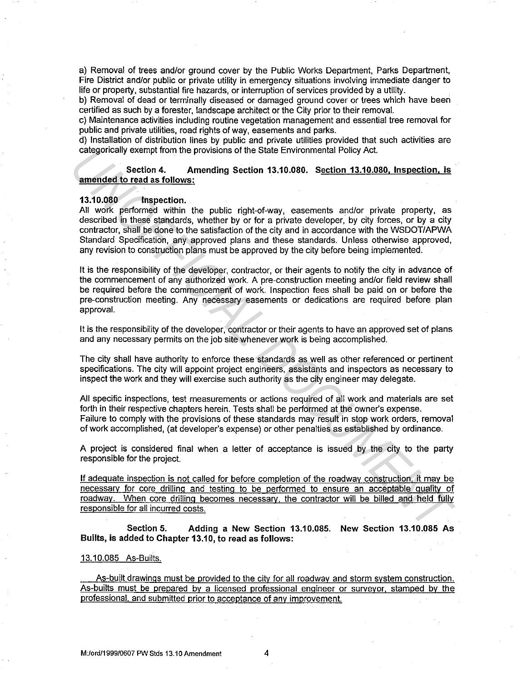a) Removal of trees and/or ground cover by the Public Works Department, Parks Department, Fire District and/or public or private utility in emergency situations involving immediate danger to life or property, substantial fire hazards, or interruption of services provided by a utility.

b) Removal of dead or terminally diseased or damaged ground cover or trees which have been certified as such by a forester, landscape architect or the City prior to their removal.

c) Maintenance activities including routine vegetation management and essential tree removal for public and private utilities, road rights of way, easements and parks.

d) Installation of distribution lines by public and private utilities provided that such activities are categorically exempt from the provisions of the State Environmental Policy Act.

### Section 4. Amending Section 13.10.080. Section 13.10.080, Inspection. is amended to read as follows:

### 13.10.080 Inspection.

All work performed within the public right-of-way, easements and/or private property, as described in these standards, whether by or for a private developer, by city forces, or by a city contractor, shall be done to the satisfaction of the city and in accordance with the WSDOT/APWA Standard Specification, any approved plans and these standards. Unless otherwise approved, any revision to construction plans must be approved by the city before being implemented. categorically exempt from the provisions of the State Emvironmental Policy Act.<br> **samended to read as follows:**<br> **UNOFFICIAL DOCE 11.4** Amending Section 13.10.080. Section 13.10.080. Inspection, Is<br>
All work persional with

It is the responsibility of the developer, contractor, or their agents to notify the city in advance of the commencement of any authorized work. A pre-construction meeting and/or field review shall be required before the commencement of work. Inspection fees shall be paid on or before the pre-construction meeting. Any necessary easements or dedications are required before plan approval.

It is the responsibility of the developer, contractor or their agents to have an approved set of plans and any necessary permits on the job site whenever work is being accomplished.

The city shall have authority to enforce these standards as well as other referenced or pertinent specifications. The city will appoint project engineers, assistants and inspectors as necessary to inspect the work and they will exercise such authority as the city engineer may delegate.

All specific inspections, test measurements or actions required of all work and materials are set forth in their respective chapters herein. Tests shall be performed at the owner's expense. Failure to comply with the provisions of these standards may result in stop work orders. removal of work accomplished, (at developer's expense) or other penalties as established by ordinance.

A project is considered final when a letter of acceptance is issued by the city to the party responsible for the project.

If adequate inspection is not called for before completion of the roadway construction. it may be necessarv for core drilling and testing to be performed to ensure an acceptable quality of roadway. When core drilling becomes necessary, the contractor will be billed and held fully responsible for all incurred costs.

Section 5. Adding a New Section 13.10.085. New Section 13.10.085 As Builts, is added to Chapter 13.10, to read as follows:

# 13.10.085 As-Builts.

As-built drawings must be provided to the city for all roadway and storm system construction. As-builts must be prepared by a licensed professional engineer or surveyor. stamped by the professional. and submitted prior to acceptance of any improvement.